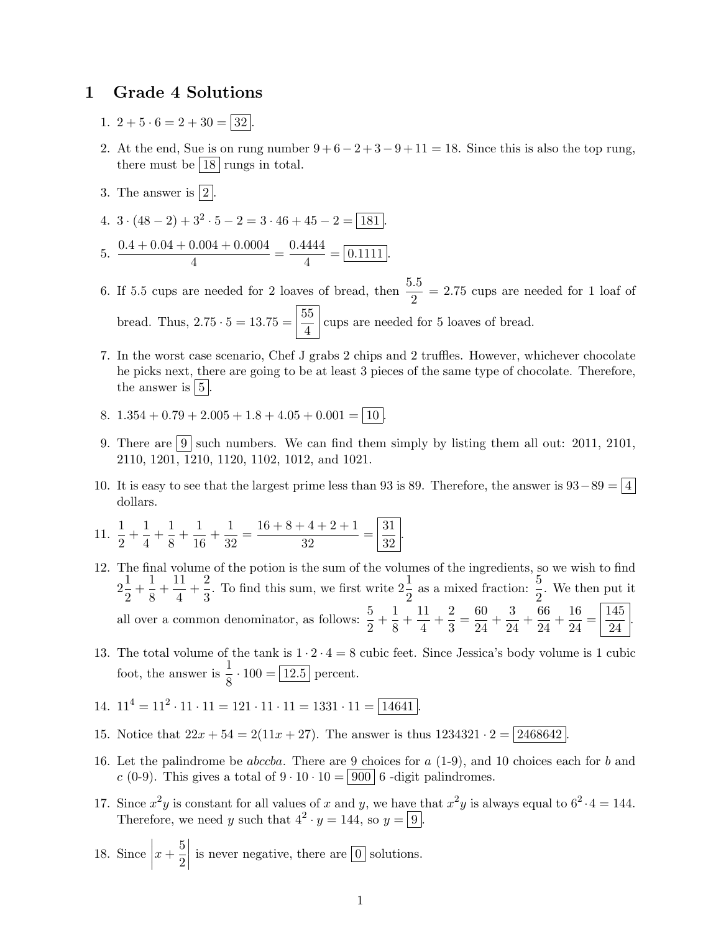## 1 Grade 4 Solutions

- 1.  $2 + 5 \cdot 6 = 2 + 30 = |32|$
- 2. At the end, Sue is on rung number  $9 + 6 2 + 3 9 + 11 = 18$ . Since this is also the top rung, there must be  $|18|$  rungs in total.
- 3. The answer is  $\boxed{2}$ .
- 4.  $3 \cdot (48 2) + 3^2 \cdot 5 2 = 3 \cdot 46 + 45 2 = \boxed{181}$ .

5. 
$$
\frac{0.4 + 0.04 + 0.004 + 0.0004}{4} = \frac{0.4444}{4} = \boxed{0.1111}.
$$

- 6. If 5.5 cups are needed for 2 loaves of bread, then  $\frac{5.5}{2} = 2.75$  cups are needed for 1 loaf of bread. Thus,  $2.75 \cdot 5 = 13.75 = \frac{55}{4}$  $\frac{20}{4}$  cups are needed for 5 loaves of bread.
- 7. In the worst case scenario, Chef J grabs 2 chips and 2 truffles. However, whichever chocolate he picks next, there are going to be at least 3 pieces of the same type of chocolate. Therefore, the answer is  $|5|$ .
- 8.  $1.354 + 0.79 + 2.005 + 1.8 + 4.05 + 0.001 = \boxed{10}$
- 9. There are  $|9|$  such numbers. We can find them simply by listing them all out: 2011, 2101, 2110, 1201, 1210, 1120, 1102, 1012, and 1021.
- 10. It is easy to see that the largest prime less than 93 is 89. Therefore, the answer is  $93-89 = |4|$ dollars.

11. 
$$
\frac{1}{2} + \frac{1}{4} + \frac{1}{8} + \frac{1}{16} + \frac{1}{32} = \frac{16 + 8 + 4 + 2 + 1}{32} = \left| \frac{31}{32} \right|
$$

- 12. The final volume of the potion is the sum of the volumes of the ingredients, so we wish to find  $2\frac{1}{2}$  $\frac{1}{2} + \frac{1}{8}$  $\frac{1}{8} + \frac{11}{4}$  $\frac{11}{4} + \frac{2}{3}$  $\frac{2}{3}$ . To find this sum, we first write  $2\frac{1}{2}$  as a mixed fraction:  $\frac{5}{2}$ . We then put it all over a common denominator, as follows:  $\frac{5}{2} + \frac{1}{8}$  $\frac{1}{8} + \frac{11}{4}$  $\frac{11}{4} + \frac{2}{3}$  $\frac{2}{3} = \frac{60}{24}$  $\frac{60}{24} + \frac{3}{24}$  $rac{3}{24} + \frac{66}{24}$  $\frac{66}{24} + \frac{16}{24}$  $rac{16}{24} = \frac{145}{24}$ 24 .
- 13. The total volume of the tank is  $1 \cdot 2 \cdot 4 = 8$  cubic feet. Since Jessica's body volume is 1 cubic foot, the answer is  $\frac{1}{8} \cdot 100 = 12.5$  percent.
- 14.  $11^4 = 11^2 \cdot 11 \cdot 11 = 121 \cdot 11 \cdot 11 = 1331 \cdot 11 = \boxed{14641}$ .
- 15. Notice that  $22x + 54 = 2(11x + 27)$ . The answer is thus  $1234321 \cdot 2 = 2468642$
- 16. Let the palindrome be *abccba*. There are 9 choices for  $a(1-9)$ , and 10 choices each for  $b$  and c (0-9). This gives a total of  $9 \cdot 10 \cdot 10 = |900|$  6 -digit palindromes.
- 17. Since  $x^2y$  is constant for all values of x and y, we have that  $x^2y$  is always equal to  $6^2 \cdot 4 = 144$ . Therefore, we need y such that  $4^2 \cdot y = 144$ , so  $y = 9$ .
- 18. Since  $\Big|$  $x+\frac{5}{2}$ 2  $\begin{array}{c} \begin{array}{c} \begin{array}{c} \end{array} \\ \begin{array}{c} \end{array} \end{array} \end{array}$ is never negative, there are  $|0|$  solutions.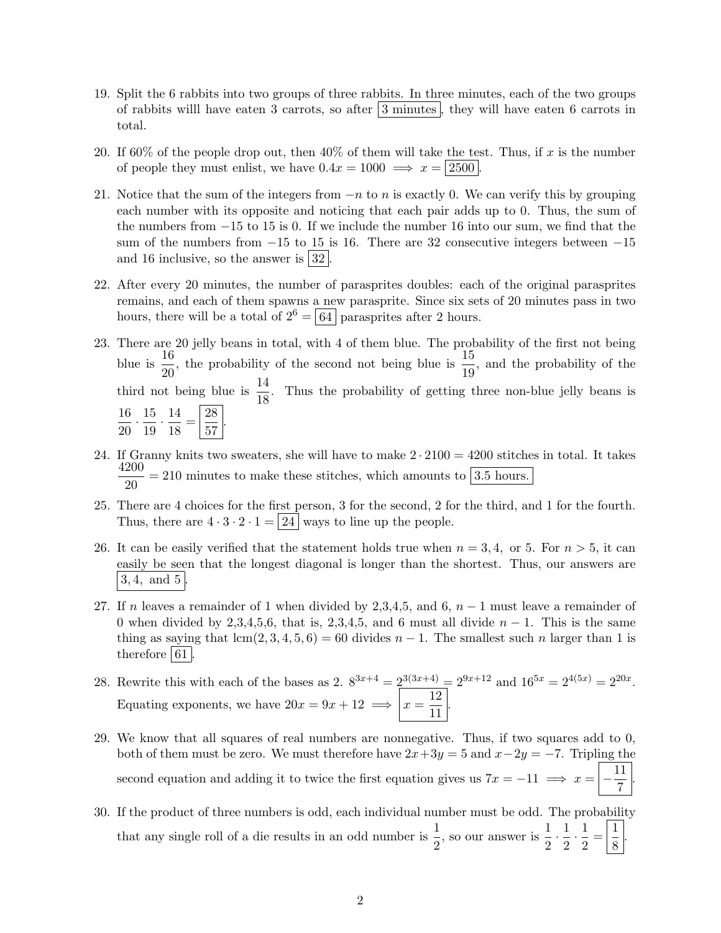- 19. Split the 6 rabbits into two groups of three rabbits. In three minutes, each of the two groups of rabbits will have eaten 3 carrots, so after  $|3 \text{ minutes}|$ , they will have eaten 6 carrots in total.
- 20. If 60% of the people drop out, then 40% of them will take the test. Thus, if x is the number of people they must enlist, we have  $0.4x = 1000 \implies x = |2500|$ .
- 21. Notice that the sum of the integers from  $-n$  to n is exactly 0. We can verify this by grouping each number with its opposite and noticing that each pair adds up to 0. Thus, the sum of the numbers from −15 to 15 is 0. If we include the number 16 into our sum, we find that the sum of the numbers from  $-15$  to 15 is 16. There are 32 consecutive integers between  $-15$ and 16 inclusive, so the answer is  $|32|$ .
- 22. After every 20 minutes, the number of parasprites doubles: each of the original parasprites remains, and each of them spawns a new parasprite. Since six sets of 20 minutes pass in two hours, there will be a total of  $2^6 = 64$  parasprites after 2 hours.
- 23. There are 20 jelly beans in total, with 4 of them blue. The probability of the first not being blue is  $\frac{16}{20}$ , the probability of the second not being blue is  $\frac{15}{19}$ , and the probability of the third not being blue is  $\frac{14}{18}$ . Thus the probability of getting three non-blue jelly beans is 16  $\frac{16}{20} \cdot \frac{15}{19}$  $\frac{15}{19} \cdot \frac{14}{18}$  $\frac{14}{18} = \frac{28}{57}$  $rac{20}{57}$ .
- 24. If Granny knits two sweaters, she will have to make  $2 \cdot 2100 = 4200$  stitches in total. It takes 4200  $\frac{200}{20}$  = 210 minutes to make these stitches, which amounts to  $\boxed{3.5 \text{ hours}}$ .
- 25. There are 4 choices for the first person, 3 for the second, 2 for the third, and 1 for the fourth. Thus, there are  $4 \cdot 3 \cdot 2 \cdot 1 = 24$  ways to line up the people.
- 26. It can be easily verified that the statement holds true when  $n = 3, 4$ , or 5. For  $n > 5$ , it can easily be seen that the longest diagonal is longer than the shortest. Thus, our answers are  $3, 4$ , and  $5$ .
- 27. If n leaves a remainder of 1 when divided by 2,3,4,5, and 6,  $n-1$  must leave a remainder of 0 when divided by 2,3,4,5,6, that is, 2,3,4,5, and 6 must all divide  $n-1$ . This is the same thing as saying that  $lcm(2, 3, 4, 5, 6) = 60$  divides  $n - 1$ . The smallest such n larger than 1 is therefore  $61$ .
- 28. Rewrite this with each of the bases as 2.  $8^{3x+4} = 2^{3(3x+4)} = 2^{9x+12}$  and  $16^{5x} = 2^{4(5x)} = 2^{20x}$ . Equating exponents, we have  $20x = 9x + 12 \implies x = \frac{12}{11}$  $\frac{12}{11}$ .
- 29. We know that all squares of real numbers are nonnegative. Thus, if two squares add to 0, both of them must be zero. We must therefore have  $2x+3y=5$  and  $x-2y=-7$ . Tripling the second equation and adding it to twice the first equation gives us  $7x = -11 \implies x = \frac{11}{7}$ 7 .
- 30. If the product of three numbers is odd, each individual number must be odd. The probability that any single roll of a die results in an odd number is  $\frac{1}{2}$ , so our answer is  $\frac{1}{2}$  $\frac{1}{2} \cdot \frac{1}{2}$  $\frac{1}{2} \cdot \frac{1}{2}$  $\frac{1}{2} = \left| \frac{1}{8} \right|$  $\frac{1}{8}$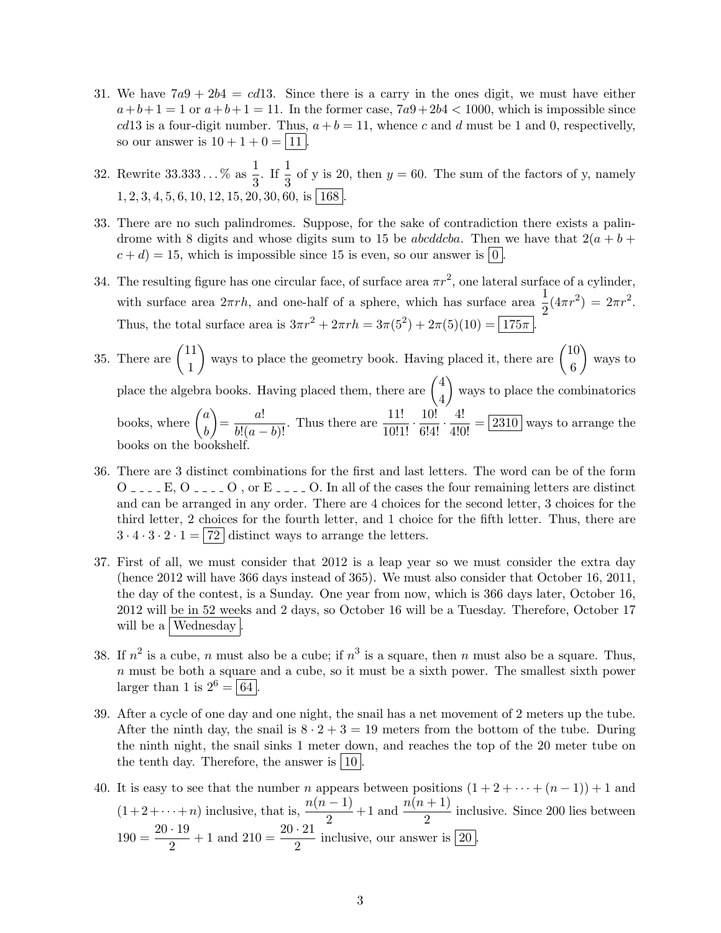- 31. We have  $7a9 + 2b4 = cd13$ . Since there is a carry in the ones digit, we must have either  $a+b+1=1$  or  $a+b+1=11$ . In the former case,  $7a9+2b4 < 1000$ , which is impossible since cd13 is a four-digit number. Thus,  $a + b = 11$ , whence c and d must be 1 and 0, respectivelly, so our answer is  $10 + 1 + 0 = |11|$ .
- 32. Rewrite 33.333... % as  $\frac{1}{3}$ . If  $\frac{1}{3}$  of y is 20, then  $y = 60$ . The sum of the factors of y, namely  $1, 2, 3, 4, 5, 6, 10, 12, 15, 20, 30, 60,$  is | 168 |
- 33. There are no such palindromes. Suppose, for the sake of contradiction there exists a palindrome with 8 digits and whose digits sum to 15 be *abcddcba*. Then we have that  $2(a + b +$  $c + d$ ) = 15, which is impossible since 15 is even, so our answer is  $\lfloor 0 \rfloor$
- 34. The resulting figure has one circular face, of surface area  $\pi r^2$ , one lateral surface of a cylinder, with surface area  $2\pi rh$ , and one-half of a sphere, which has surface area  $\frac{1}{2}(4\pi r^2) = 2\pi r^2$ . Thus, the total surface area is  $3\pi r^2 + 2\pi rh = 3\pi (5^2) + 2\pi (5)(10) = 175\pi$ .
- 35. There are  $\begin{pmatrix} 11 \\ 1 \end{pmatrix}$ 1 ways to place the geometry book. Having placed it, there are  $\begin{pmatrix} 10 \\ 0 \end{pmatrix}$ 6 ways to place the algebra books. Having placed them, there are  $\begin{pmatrix} 4 & 1 \\ 1 & 1 \end{pmatrix}$ 4 ways to place the combinatorics books, where  $\begin{pmatrix} a \\ b \end{pmatrix}$ b  $=\frac{a!}{b!(a-b)!}$ . Thus there are  $\frac{11!}{10!1!} \cdot \frac{10!}{6!4!} \cdot \frac{4!}{4!0!} = 2310$  ways to arrange the books on the bookshelf.
- 36. There are 3 distinct combinations for the first and last letters. The word can be of the form  $O_{\text{max}}$  E,  $O_{\text{max}}$  O , or E<sub>-1-1</sub> O. In all of the cases the four remaining letters are distinct and can be arranged in any order. There are 4 choices for the second letter, 3 choices for the third letter, 2 choices for the fourth letter, and 1 choice for the fifth letter. Thus, there are  $3 \cdot 4 \cdot 3 \cdot 2 \cdot 1 = |72|$  distinct ways to arrange the letters.
- 37. First of all, we must consider that 2012 is a leap year so we must consider the extra day (hence 2012 will have 366 days instead of 365). We must also consider that October 16, 2011, the day of the contest, is a Sunday. One year from now, which is 366 days later, October 16, 2012 will be in 52 weeks and 2 days, so October 16 will be a Tuesday. Therefore, October 17 will be a Wednesday
- 38. If  $n^2$  is a cube, n must also be a cube; if  $n^3$  is a square, then n must also be a square. Thus,  $n$  must be both a square and a cube, so it must be a sixth power. The smallest sixth power larger than 1 is  $2^6 = \boxed{64}$ .
- 39. After a cycle of one day and one night, the snail has a net movement of 2 meters up the tube. After the ninth day, the snail is  $8 \cdot 2 + 3 = 19$  meters from the bottom of the tube. During the ninth night, the snail sinks 1 meter down, and reaches the top of the 20 meter tube on the tenth day. Therefore, the answer is  $|10|$ .
- 40. It is easy to see that the number *n* appears between positions  $(1 + 2 + \cdots + (n 1)) + 1$  and  $(1+2+\cdots+n)$  inclusive, that is,  $\frac{n(n-1)}{2}+1$  and  $\frac{n(n+1)}{2}$  inclusive. Since 200 lies between  $190 = \frac{20 \cdot 19}{8}$  $\frac{19}{2} + 1$  and  $210 = \frac{20 \cdot 21}{2}$  inclusive, our answer is  $\boxed{20}$ .